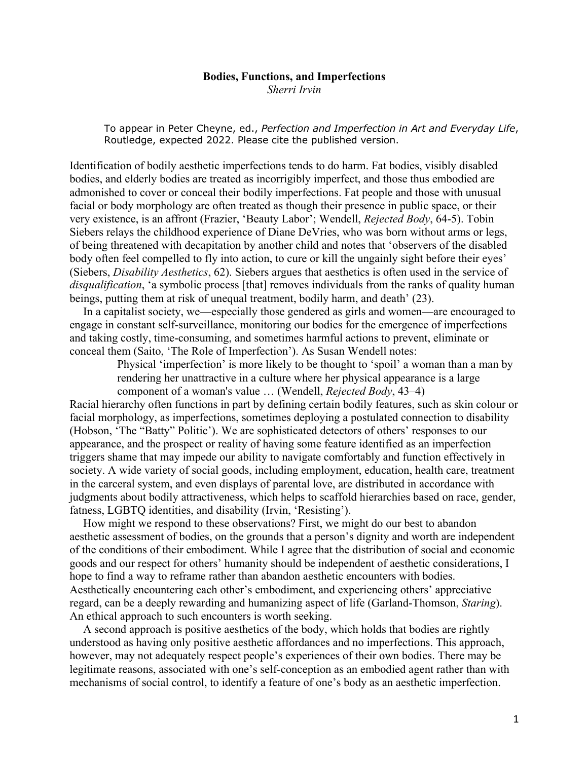#### **Bodies, Functions, and Imperfections**

*Sherri Irvin*

To appear in Peter Cheyne, ed., *Perfection and Imperfection in Art and Everyday Life*, Routledge, expected 2022. Please cite the published version.

Identification of bodily aesthetic imperfections tends to do harm. Fat bodies, visibly disabled bodies, and elderly bodies are treated as incorrigibly imperfect, and those thus embodied are admonished to cover or conceal their bodily imperfections. Fat people and those with unusual facial or body morphology are often treated as though their presence in public space, or their very existence, is an affront (Frazier, 'Beauty Labor'; Wendell, *Rejected Body*, 64-5). Tobin Siebers relays the childhood experience of Diane DeVries, who was born without arms or legs, of being threatened with decapitation by another child and notes that 'observers of the disabled body often feel compelled to fly into action, to cure or kill the ungainly sight before their eyes' (Siebers, *Disability Aesthetics*, 62). Siebers argues that aesthetics is often used in the service of *disqualification*, 'a symbolic process [that] removes individuals from the ranks of quality human beings, putting them at risk of unequal treatment, bodily harm, and death' (23).

In a capitalist society, we—especially those gendered as girls and women—are encouraged to engage in constant self-surveillance, monitoring our bodies for the emergence of imperfections and taking costly, time-consuming, and sometimes harmful actions to prevent, eliminate or conceal them (Saito, 'The Role of Imperfection'). As Susan Wendell notes:

> Physical 'imperfection' is more likely to be thought to 'spoil' a woman than a man by rendering her unattractive in a culture where her physical appearance is a large component of a woman's value … (Wendell, *Rejected Body*, 43–4)

Racial hierarchy often functions in part by defining certain bodily features, such as skin colour or facial morphology, as imperfections, sometimes deploying a postulated connection to disability (Hobson, 'The "Batty" Politic'). We are sophisticated detectors of others' responses to our appearance, and the prospect or reality of having some feature identified as an imperfection triggers shame that may impede our ability to navigate comfortably and function effectively in society. A wide variety of social goods, including employment, education, health care, treatment in the carceral system, and even displays of parental love, are distributed in accordance with judgments about bodily attractiveness, which helps to scaffold hierarchies based on race, gender, fatness, LGBTQ identities, and disability (Irvin, 'Resisting').

How might we respond to these observations? First, we might do our best to abandon aesthetic assessment of bodies, on the grounds that a person's dignity and worth are independent of the conditions of their embodiment. While I agree that the distribution of social and economic goods and our respect for others' humanity should be independent of aesthetic considerations, I hope to find a way to reframe rather than abandon aesthetic encounters with bodies. Aesthetically encountering each other's embodiment, and experiencing others' appreciative regard, can be a deeply rewarding and humanizing aspect of life (Garland-Thomson, *Staring*). An ethical approach to such encounters is worth seeking.

A second approach is positive aesthetics of the body, which holds that bodies are rightly understood as having only positive aesthetic affordances and no imperfections. This approach, however, may not adequately respect people's experiences of their own bodies. There may be legitimate reasons, associated with one's self-conception as an embodied agent rather than with mechanisms of social control, to identify a feature of one's body as an aesthetic imperfection.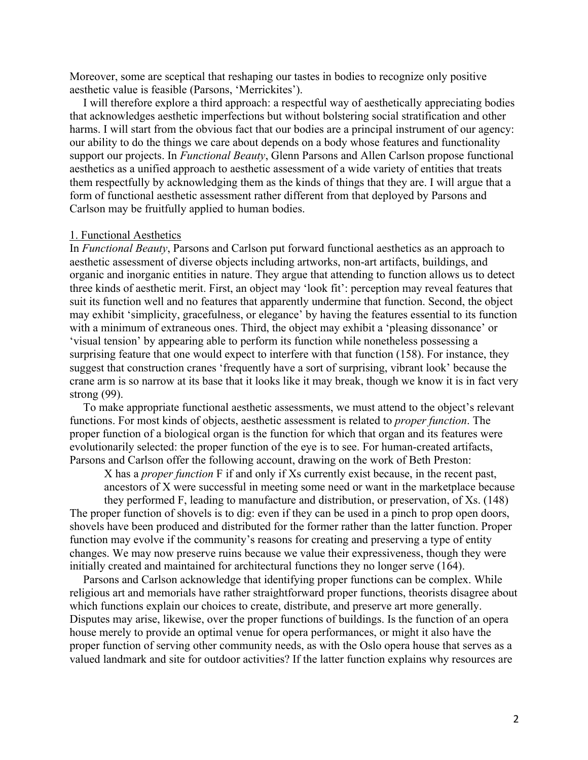Moreover, some are sceptical that reshaping our tastes in bodies to recognize only positive aesthetic value is feasible (Parsons, 'Merrickites').

I will therefore explore a third approach: a respectful way of aesthetically appreciating bodies that acknowledges aesthetic imperfections but without bolstering social stratification and other harms. I will start from the obvious fact that our bodies are a principal instrument of our agency: our ability to do the things we care about depends on a body whose features and functionality support our projects. In *Functional Beauty*, Glenn Parsons and Allen Carlson propose functional aesthetics as a unified approach to aesthetic assessment of a wide variety of entities that treats them respectfully by acknowledging them as the kinds of things that they are. I will argue that a form of functional aesthetic assessment rather different from that deployed by Parsons and Carlson may be fruitfully applied to human bodies.

# 1. Functional Aesthetics

In *Functional Beauty*, Parsons and Carlson put forward functional aesthetics as an approach to aesthetic assessment of diverse objects including artworks, non-art artifacts, buildings, and organic and inorganic entities in nature. They argue that attending to function allows us to detect three kinds of aesthetic merit. First, an object may 'look fit': perception may reveal features that suit its function well and no features that apparently undermine that function. Second, the object may exhibit 'simplicity, gracefulness, or elegance' by having the features essential to its function with a minimum of extraneous ones. Third, the object may exhibit a 'pleasing dissonance' or 'visual tension' by appearing able to perform its function while nonetheless possessing a surprising feature that one would expect to interfere with that function (158). For instance, they suggest that construction cranes 'frequently have a sort of surprising, vibrant look' because the crane arm is so narrow at its base that it looks like it may break, though we know it is in fact very strong (99).

To make appropriate functional aesthetic assessments, we must attend to the object's relevant functions. For most kinds of objects, aesthetic assessment is related to *proper function*. The proper function of a biological organ is the function for which that organ and its features were evolutionarily selected: the proper function of the eye is to see. For human-created artifacts, Parsons and Carlson offer the following account, drawing on the work of Beth Preston:

X has a *proper function* F if and only if Xs currently exist because, in the recent past, ancestors of X were successful in meeting some need or want in the marketplace because

they performed F, leading to manufacture and distribution, or preservation, of Xs. (148) The proper function of shovels is to dig: even if they can be used in a pinch to prop open doors, shovels have been produced and distributed for the former rather than the latter function. Proper function may evolve if the community's reasons for creating and preserving a type of entity changes. We may now preserve ruins because we value their expressiveness, though they were initially created and maintained for architectural functions they no longer serve (164).

Parsons and Carlson acknowledge that identifying proper functions can be complex. While religious art and memorials have rather straightforward proper functions, theorists disagree about which functions explain our choices to create, distribute, and preserve art more generally. Disputes may arise, likewise, over the proper functions of buildings. Is the function of an opera house merely to provide an optimal venue for opera performances, or might it also have the proper function of serving other community needs, as with the Oslo opera house that serves as a valued landmark and site for outdoor activities? If the latter function explains why resources are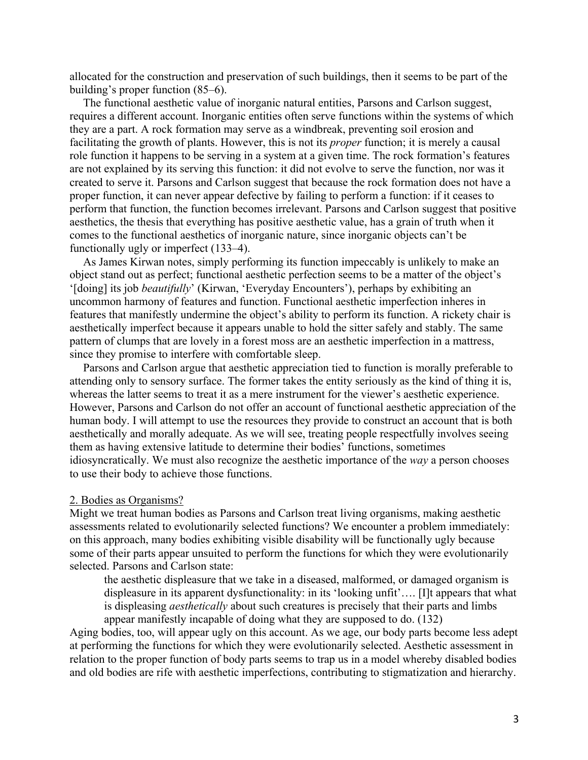allocated for the construction and preservation of such buildings, then it seems to be part of the building's proper function (85–6).

The functional aesthetic value of inorganic natural entities, Parsons and Carlson suggest, requires a different account. Inorganic entities often serve functions within the systems of which they are a part. A rock formation may serve as a windbreak, preventing soil erosion and facilitating the growth of plants. However, this is not its *proper* function; it is merely a causal role function it happens to be serving in a system at a given time. The rock formation's features are not explained by its serving this function: it did not evolve to serve the function, nor was it created to serve it. Parsons and Carlson suggest that because the rock formation does not have a proper function, it can never appear defective by failing to perform a function: if it ceases to perform that function, the function becomes irrelevant. Parsons and Carlson suggest that positive aesthetics, the thesis that everything has positive aesthetic value, has a grain of truth when it comes to the functional aesthetics of inorganic nature, since inorganic objects can't be functionally ugly or imperfect (133–4).

As James Kirwan notes, simply performing its function impeccably is unlikely to make an object stand out as perfect; functional aesthetic perfection seems to be a matter of the object's '[doing] its job *beautifully*' (Kirwan, 'Everyday Encounters'), perhaps by exhibiting an uncommon harmony of features and function. Functional aesthetic imperfection inheres in features that manifestly undermine the object's ability to perform its function. A rickety chair is aesthetically imperfect because it appears unable to hold the sitter safely and stably. The same pattern of clumps that are lovely in a forest moss are an aesthetic imperfection in a mattress, since they promise to interfere with comfortable sleep.

Parsons and Carlson argue that aesthetic appreciation tied to function is morally preferable to attending only to sensory surface. The former takes the entity seriously as the kind of thing it is, whereas the latter seems to treat it as a mere instrument for the viewer's aesthetic experience. However, Parsons and Carlson do not offer an account of functional aesthetic appreciation of the human body. I will attempt to use the resources they provide to construct an account that is both aesthetically and morally adequate. As we will see, treating people respectfully involves seeing them as having extensive latitude to determine their bodies' functions, sometimes idiosyncratically. We must also recognize the aesthetic importance of the *way* a person chooses to use their body to achieve those functions.

### 2. Bodies as Organisms?

Might we treat human bodies as Parsons and Carlson treat living organisms, making aesthetic assessments related to evolutionarily selected functions? We encounter a problem immediately: on this approach, many bodies exhibiting visible disability will be functionally ugly because some of their parts appear unsuited to perform the functions for which they were evolutionarily selected. Parsons and Carlson state:

the aesthetic displeasure that we take in a diseased, malformed, or damaged organism is displeasure in its apparent dysfunctionality: in its 'looking unfit'…. [I]t appears that what is displeasing *aesthetically* about such creatures is precisely that their parts and limbs appear manifestly incapable of doing what they are supposed to do. (132)

Aging bodies, too, will appear ugly on this account. As we age, our body parts become less adept at performing the functions for which they were evolutionarily selected. Aesthetic assessment in relation to the proper function of body parts seems to trap us in a model whereby disabled bodies and old bodies are rife with aesthetic imperfections, contributing to stigmatization and hierarchy.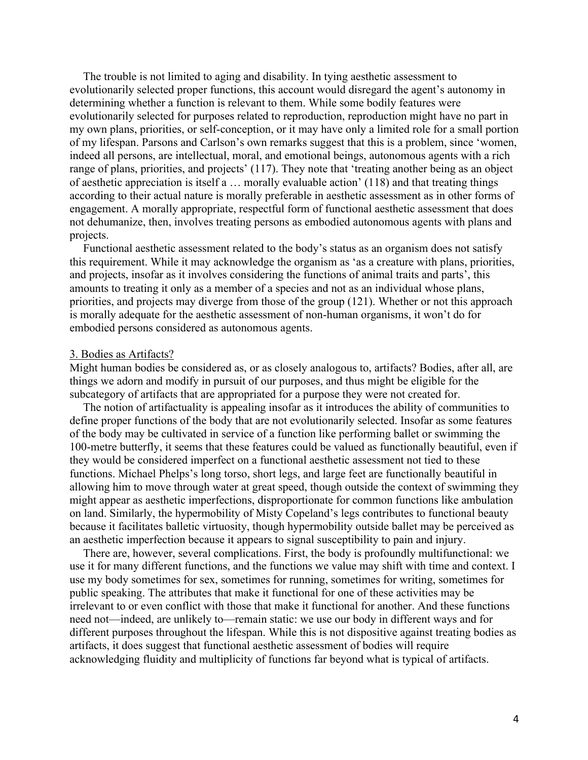The trouble is not limited to aging and disability. In tying aesthetic assessment to evolutionarily selected proper functions, this account would disregard the agent's autonomy in determining whether a function is relevant to them. While some bodily features were evolutionarily selected for purposes related to reproduction, reproduction might have no part in my own plans, priorities, or self-conception, or it may have only a limited role for a small portion of my lifespan. Parsons and Carlson's own remarks suggest that this is a problem, since 'women, indeed all persons, are intellectual, moral, and emotional beings, autonomous agents with a rich range of plans, priorities, and projects' (117). They note that 'treating another being as an object of aesthetic appreciation is itself a … morally evaluable action' (118) and that treating things according to their actual nature is morally preferable in aesthetic assessment as in other forms of engagement. A morally appropriate, respectful form of functional aesthetic assessment that does not dehumanize, then, involves treating persons as embodied autonomous agents with plans and projects.

Functional aesthetic assessment related to the body's status as an organism does not satisfy this requirement. While it may acknowledge the organism as 'as a creature with plans, priorities, and projects, insofar as it involves considering the functions of animal traits and parts', this amounts to treating it only as a member of a species and not as an individual whose plans, priorities, and projects may diverge from those of the group (121). Whether or not this approach is morally adequate for the aesthetic assessment of non-human organisms, it won't do for embodied persons considered as autonomous agents.

### 3. Bodies as Artifacts?

Might human bodies be considered as, or as closely analogous to, artifacts? Bodies, after all, are things we adorn and modify in pursuit of our purposes, and thus might be eligible for the subcategory of artifacts that are appropriated for a purpose they were not created for.

The notion of artifactuality is appealing insofar as it introduces the ability of communities to define proper functions of the body that are not evolutionarily selected. Insofar as some features of the body may be cultivated in service of a function like performing ballet or swimming the 100-metre butterfly, it seems that these features could be valued as functionally beautiful, even if they would be considered imperfect on a functional aesthetic assessment not tied to these functions. Michael Phelps's long torso, short legs, and large feet are functionally beautiful in allowing him to move through water at great speed, though outside the context of swimming they might appear as aesthetic imperfections, disproportionate for common functions like ambulation on land. Similarly, the hypermobility of Misty Copeland's legs contributes to functional beauty because it facilitates balletic virtuosity, though hypermobility outside ballet may be perceived as an aesthetic imperfection because it appears to signal susceptibility to pain and injury.

There are, however, several complications. First, the body is profoundly multifunctional: we use it for many different functions, and the functions we value may shift with time and context. I use my body sometimes for sex, sometimes for running, sometimes for writing, sometimes for public speaking. The attributes that make it functional for one of these activities may be irrelevant to or even conflict with those that make it functional for another. And these functions need not—indeed, are unlikely to—remain static: we use our body in different ways and for different purposes throughout the lifespan. While this is not dispositive against treating bodies as artifacts, it does suggest that functional aesthetic assessment of bodies will require acknowledging fluidity and multiplicity of functions far beyond what is typical of artifacts.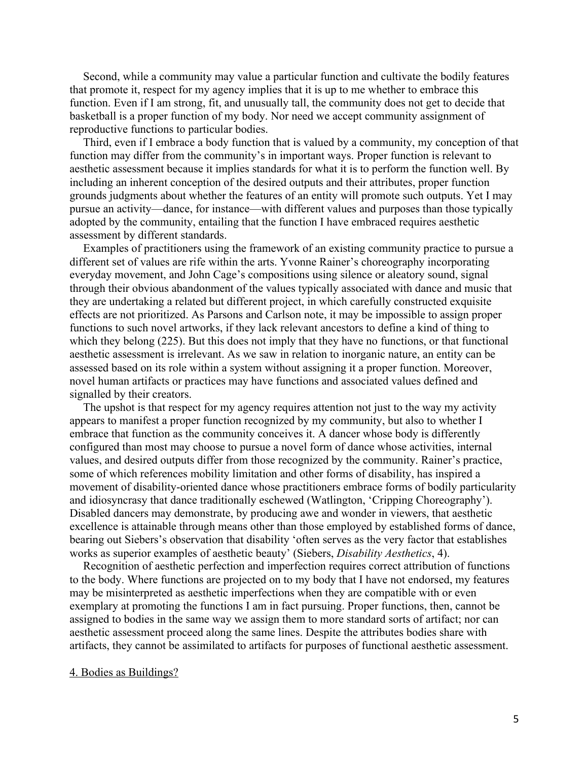Second, while a community may value a particular function and cultivate the bodily features that promote it, respect for my agency implies that it is up to me whether to embrace this function. Even if I am strong, fit, and unusually tall, the community does not get to decide that basketball is a proper function of my body. Nor need we accept community assignment of reproductive functions to particular bodies.

Third, even if I embrace a body function that is valued by a community, my conception of that function may differ from the community's in important ways. Proper function is relevant to aesthetic assessment because it implies standards for what it is to perform the function well. By including an inherent conception of the desired outputs and their attributes, proper function grounds judgments about whether the features of an entity will promote such outputs. Yet I may pursue an activity—dance, for instance—with different values and purposes than those typically adopted by the community, entailing that the function I have embraced requires aesthetic assessment by different standards.

Examples of practitioners using the framework of an existing community practice to pursue a different set of values are rife within the arts. Yvonne Rainer's choreography incorporating everyday movement, and John Cage's compositions using silence or aleatory sound, signal through their obvious abandonment of the values typically associated with dance and music that they are undertaking a related but different project, in which carefully constructed exquisite effects are not prioritized. As Parsons and Carlson note, it may be impossible to assign proper functions to such novel artworks, if they lack relevant ancestors to define a kind of thing to which they belong (225). But this does not imply that they have no functions, or that functional aesthetic assessment is irrelevant. As we saw in relation to inorganic nature, an entity can be assessed based on its role within a system without assigning it a proper function. Moreover, novel human artifacts or practices may have functions and associated values defined and signalled by their creators.

The upshot is that respect for my agency requires attention not just to the way my activity appears to manifest a proper function recognized by my community, but also to whether I embrace that function as the community conceives it. A dancer whose body is differently configured than most may choose to pursue a novel form of dance whose activities, internal values, and desired outputs differ from those recognized by the community. Rainer's practice, some of which references mobility limitation and other forms of disability, has inspired a movement of disability-oriented dance whose practitioners embrace forms of bodily particularity and idiosyncrasy that dance traditionally eschewed (Watlington, 'Cripping Choreography'). Disabled dancers may demonstrate, by producing awe and wonder in viewers, that aesthetic excellence is attainable through means other than those employed by established forms of dance, bearing out Siebers's observation that disability 'often serves as the very factor that establishes works as superior examples of aesthetic beauty' (Siebers, *Disability Aesthetics*, 4).

Recognition of aesthetic perfection and imperfection requires correct attribution of functions to the body. Where functions are projected on to my body that I have not endorsed, my features may be misinterpreted as aesthetic imperfections when they are compatible with or even exemplary at promoting the functions I am in fact pursuing. Proper functions, then, cannot be assigned to bodies in the same way we assign them to more standard sorts of artifact; nor can aesthetic assessment proceed along the same lines. Despite the attributes bodies share with artifacts, they cannot be assimilated to artifacts for purposes of functional aesthetic assessment.

## 4. Bodies as Buildings?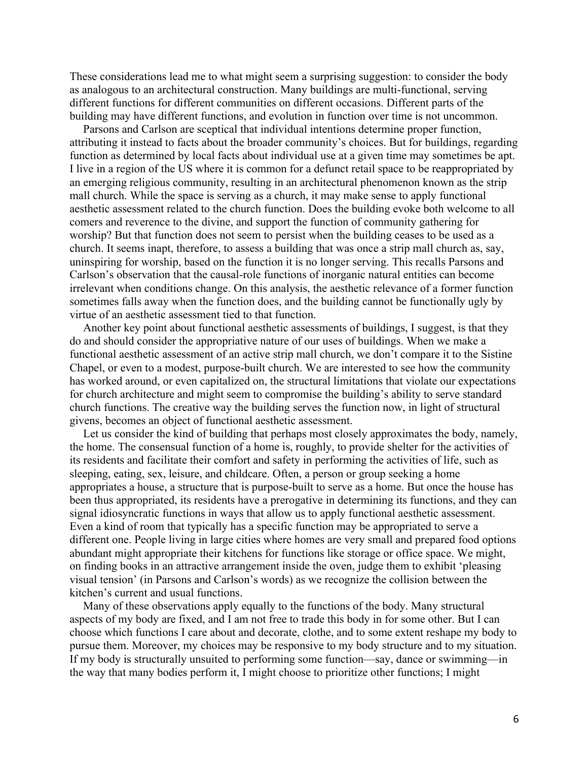These considerations lead me to what might seem a surprising suggestion: to consider the body as analogous to an architectural construction. Many buildings are multi-functional, serving different functions for different communities on different occasions. Different parts of the building may have different functions, and evolution in function over time is not uncommon.

Parsons and Carlson are sceptical that individual intentions determine proper function, attributing it instead to facts about the broader community's choices. But for buildings, regarding function as determined by local facts about individual use at a given time may sometimes be apt. I live in a region of the US where it is common for a defunct retail space to be reappropriated by an emerging religious community, resulting in an architectural phenomenon known as the strip mall church. While the space is serving as a church, it may make sense to apply functional aesthetic assessment related to the church function. Does the building evoke both welcome to all comers and reverence to the divine, and support the function of community gathering for worship? But that function does not seem to persist when the building ceases to be used as a church. It seems inapt, therefore, to assess a building that was once a strip mall church as, say, uninspiring for worship, based on the function it is no longer serving. This recalls Parsons and Carlson's observation that the causal-role functions of inorganic natural entities can become irrelevant when conditions change. On this analysis, the aesthetic relevance of a former function sometimes falls away when the function does, and the building cannot be functionally ugly by virtue of an aesthetic assessment tied to that function.

Another key point about functional aesthetic assessments of buildings, I suggest, is that they do and should consider the appropriative nature of our uses of buildings. When we make a functional aesthetic assessment of an active strip mall church, we don't compare it to the Sistine Chapel, or even to a modest, purpose-built church. We are interested to see how the community has worked around, or even capitalized on, the structural limitations that violate our expectations for church architecture and might seem to compromise the building's ability to serve standard church functions. The creative way the building serves the function now, in light of structural givens, becomes an object of functional aesthetic assessment.

Let us consider the kind of building that perhaps most closely approximates the body, namely, the home. The consensual function of a home is, roughly, to provide shelter for the activities of its residents and facilitate their comfort and safety in performing the activities of life, such as sleeping, eating, sex, leisure, and childcare. Often, a person or group seeking a home appropriates a house, a structure that is purpose-built to serve as a home. But once the house has been thus appropriated, its residents have a prerogative in determining its functions, and they can signal idiosyncratic functions in ways that allow us to apply functional aesthetic assessment. Even a kind of room that typically has a specific function may be appropriated to serve a different one. People living in large cities where homes are very small and prepared food options abundant might appropriate their kitchens for functions like storage or office space. We might, on finding books in an attractive arrangement inside the oven, judge them to exhibit 'pleasing visual tension' (in Parsons and Carlson's words) as we recognize the collision between the kitchen's current and usual functions.

Many of these observations apply equally to the functions of the body. Many structural aspects of my body are fixed, and I am not free to trade this body in for some other. But I can choose which functions I care about and decorate, clothe, and to some extent reshape my body to pursue them. Moreover, my choices may be responsive to my body structure and to my situation. If my body is structurally unsuited to performing some function—say, dance or swimming—in the way that many bodies perform it, I might choose to prioritize other functions; I might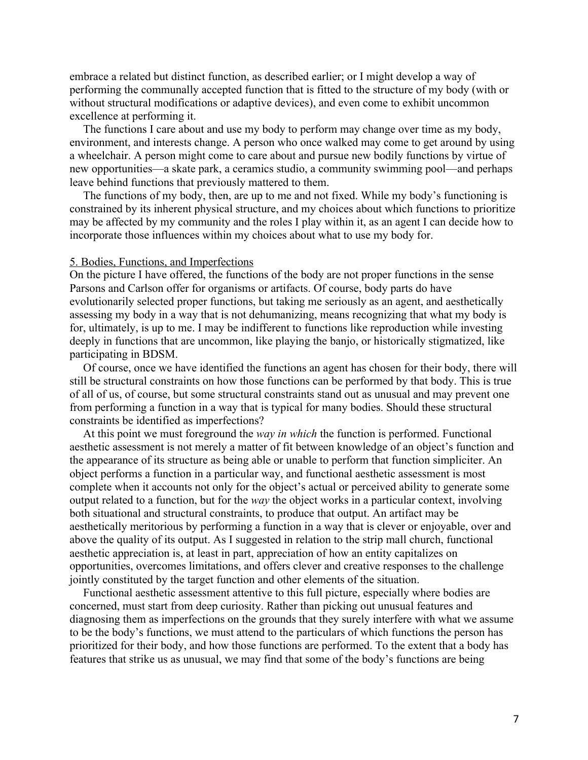embrace a related but distinct function, as described earlier; or I might develop a way of performing the communally accepted function that is fitted to the structure of my body (with or without structural modifications or adaptive devices), and even come to exhibit uncommon excellence at performing it.

The functions I care about and use my body to perform may change over time as my body, environment, and interests change. A person who once walked may come to get around by using a wheelchair. A person might come to care about and pursue new bodily functions by virtue of new opportunities—a skate park, a ceramics studio, a community swimming pool—and perhaps leave behind functions that previously mattered to them.

The functions of my body, then, are up to me and not fixed. While my body's functioning is constrained by its inherent physical structure, and my choices about which functions to prioritize may be affected by my community and the roles I play within it, as an agent I can decide how to incorporate those influences within my choices about what to use my body for.

# 5. Bodies, Functions, and Imperfections

On the picture I have offered, the functions of the body are not proper functions in the sense Parsons and Carlson offer for organisms or artifacts. Of course, body parts do have evolutionarily selected proper functions, but taking me seriously as an agent, and aesthetically assessing my body in a way that is not dehumanizing, means recognizing that what my body is for, ultimately, is up to me. I may be indifferent to functions like reproduction while investing deeply in functions that are uncommon, like playing the banjo, or historically stigmatized, like participating in BDSM.

Of course, once we have identified the functions an agent has chosen for their body, there will still be structural constraints on how those functions can be performed by that body. This is true of all of us, of course, but some structural constraints stand out as unusual and may prevent one from performing a function in a way that is typical for many bodies. Should these structural constraints be identified as imperfections?

At this point we must foreground the *way in which* the function is performed. Functional aesthetic assessment is not merely a matter of fit between knowledge of an object's function and the appearance of its structure as being able or unable to perform that function simpliciter. An object performs a function in a particular way, and functional aesthetic assessment is most complete when it accounts not only for the object's actual or perceived ability to generate some output related to a function, but for the *way* the object works in a particular context, involving both situational and structural constraints, to produce that output. An artifact may be aesthetically meritorious by performing a function in a way that is clever or enjoyable, over and above the quality of its output. As I suggested in relation to the strip mall church, functional aesthetic appreciation is, at least in part, appreciation of how an entity capitalizes on opportunities, overcomes limitations, and offers clever and creative responses to the challenge jointly constituted by the target function and other elements of the situation.

Functional aesthetic assessment attentive to this full picture, especially where bodies are concerned, must start from deep curiosity. Rather than picking out unusual features and diagnosing them as imperfections on the grounds that they surely interfere with what we assume to be the body's functions, we must attend to the particulars of which functions the person has prioritized for their body, and how those functions are performed. To the extent that a body has features that strike us as unusual, we may find that some of the body's functions are being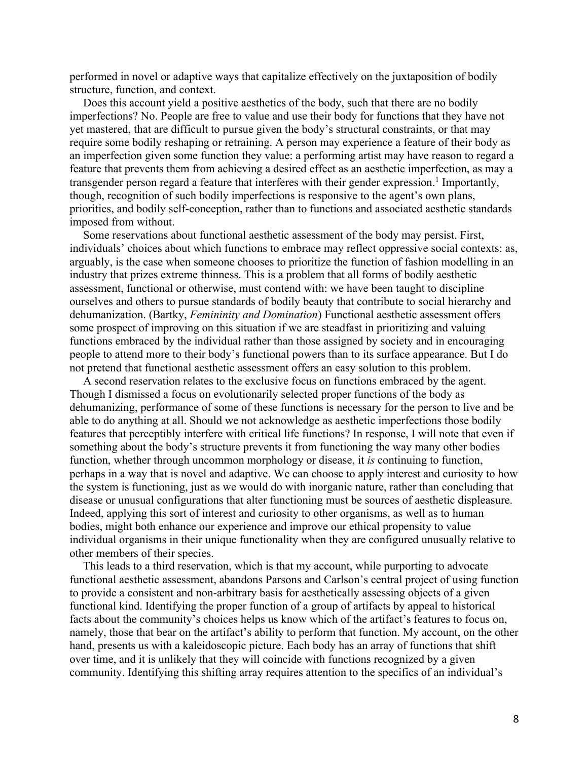performed in novel or adaptive ways that capitalize effectively on the juxtaposition of bodily structure, function, and context.

Does this account yield a positive aesthetics of the body, such that there are no bodily imperfections? No. People are free to value and use their body for functions that they have not yet mastered, that are difficult to pursue given the body's structural constraints, or that may require some bodily reshaping or retraining. A person may experience a feature of their body as an imperfection given some function they value: a performing artist may have reason to regard a feature that prevents them from achieving a desired effect as an aesthetic imperfection, as may a transgender person regard a feature that interferes with their gender expression.<sup>1</sup> Importantly, though, recognition of such bodily imperfections is responsive to the agent's own plans, priorities, and bodily self-conception, rather than to functions and associated aesthetic standards imposed from without.

Some reservations about functional aesthetic assessment of the body may persist. First, individuals' choices about which functions to embrace may reflect oppressive social contexts: as, arguably, is the case when someone chooses to prioritize the function of fashion modelling in an industry that prizes extreme thinness. This is a problem that all forms of bodily aesthetic assessment, functional or otherwise, must contend with: we have been taught to discipline ourselves and others to pursue standards of bodily beauty that contribute to social hierarchy and dehumanization. (Bartky, *Femininity and Domination*) Functional aesthetic assessment offers some prospect of improving on this situation if we are steadfast in prioritizing and valuing functions embraced by the individual rather than those assigned by society and in encouraging people to attend more to their body's functional powers than to its surface appearance. But I do not pretend that functional aesthetic assessment offers an easy solution to this problem.

A second reservation relates to the exclusive focus on functions embraced by the agent. Though I dismissed a focus on evolutionarily selected proper functions of the body as dehumanizing, performance of some of these functions is necessary for the person to live and be able to do anything at all. Should we not acknowledge as aesthetic imperfections those bodily features that perceptibly interfere with critical life functions? In response, I will note that even if something about the body's structure prevents it from functioning the way many other bodies function, whether through uncommon morphology or disease, it *is* continuing to function, perhaps in a way that is novel and adaptive. We can choose to apply interest and curiosity to how the system is functioning, just as we would do with inorganic nature, rather than concluding that disease or unusual configurations that alter functioning must be sources of aesthetic displeasure. Indeed, applying this sort of interest and curiosity to other organisms, as well as to human bodies, might both enhance our experience and improve our ethical propensity to value individual organisms in their unique functionality when they are configured unusually relative to other members of their species.

This leads to a third reservation, which is that my account, while purporting to advocate functional aesthetic assessment, abandons Parsons and Carlson's central project of using function to provide a consistent and non-arbitrary basis for aesthetically assessing objects of a given functional kind. Identifying the proper function of a group of artifacts by appeal to historical facts about the community's choices helps us know which of the artifact's features to focus on, namely, those that bear on the artifact's ability to perform that function. My account, on the other hand, presents us with a kaleidoscopic picture. Each body has an array of functions that shift over time, and it is unlikely that they will coincide with functions recognized by a given community. Identifying this shifting array requires attention to the specifics of an individual's